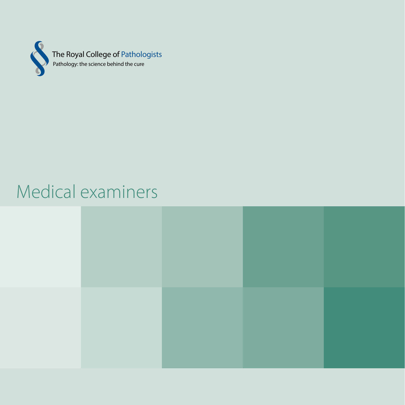

# Medical examiners

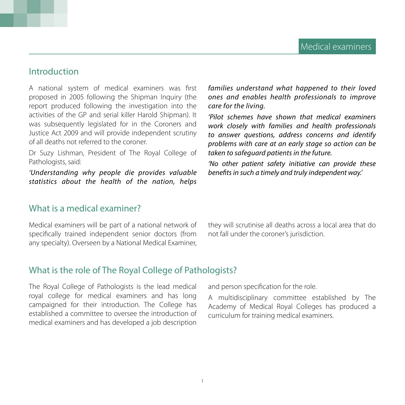## Introduction

A national system of medical examiners was first proposed in 2005 following the Shipman Inquiry (the report produced following the investigation into the activities of the GP and serial killer Harold Shipman). It was subsequently legislated for in the Coroners and Justice Act 2009 and will provide independent scrutiny of all deaths not referred to the coroner.

Dr Suzy Lishman, President of The Royal College of Pathologists, said:

*'Understanding why people die provides valuable statistics about the health of the nation, helps* 

What is a medical examiner?

Medical examiners will be part of a national network of specifically trained independent senior doctors (from any specialty). Overseen by a National Medical Examiner,

*families understand what happened to their loved ones and enables health professionals to improve care for the living.*

*'Pilot schemes have shown that medical examiners work closely with families and health professionals to answer questions, address concerns and identify problems with care at an early stage so action can be taken to safeguard patients in the future.*

*'No other patient safety initiative can provide these benefits in such a timely and truly independent way.'*

they will scrutinise all deaths across a local area that do not fall under the coroner's jurisdiction.

#### What is the role of The Royal College of Pathologists?

The Royal College of Pathologists is the lead medical royal college for medical examiners and has long campaigned for their introduction. The College has established a committee to oversee the introduction of medical examiners and has developed a job description

and person specification for the role.

A multidisciplinary committee established by The Academy of Medical Royal Colleges has produced a curriculum for training medical examiners.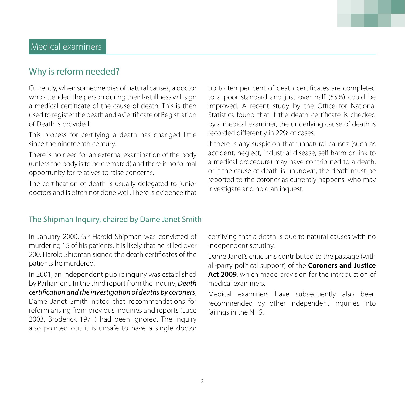# Why is reform needed?

Currently, when someone dies of natural causes, a doctor who attended the person during their last illness will sign a medical certificate of the cause of death. This is then used to register the death and a Certificate of Registration of Death is provided.

This process for certifying a death has changed little since the nineteenth century.

There is no need for an external examination of the body (unless the body is to be cremated) and there is no formal opportunity for relatives to raise concerns.

The certification of death is usually delegated to junior doctors and is often not done well. There is evidence that

up to ten per cent of death certificates are completed to a poor standard and just over half (55%) could be improved. A recent study by the Office for National Statistics found that if the death certificate is checked by a medical examiner, the underlying cause of death is recorded differently in 22% of cases.

If there is any suspicion that 'unnatural causes' (such as accident, neglect, industrial disease, self-harm or link to a medical procedure) may have contributed to a death, or if the cause of death is unknown, the death must be reported to the coroner as currently happens, who may investigate and hold an inquest.

#### The Shipman Inquiry, chaired by Dame Janet Smith

In January 2000, GP Harold Shipman was convicted of murdering 15 of his patients. It is likely that he killed over 200. Harold Shipman signed the death certificates of the patients he murdered.

In 2001, an independent public inquiry was established by Parliament. In the third report from the inquiry, *Death certification and the investigation of deaths by coroners*, Dame Janet Smith noted that recommendations for reform arising from previous inquiries and reports (Luce 2003, Broderick 1971) had been ignored. The inquiry also pointed out it is unsafe to have a single doctor

certifying that a death is due to natural causes with no independent scrutiny.

Dame Janet's criticisms contributed to the passage (with all-party political support) of the **Coroners and Justice**  Act 2009, which made provision for the introduction of medical examiners.

Medical examiners have subsequently also been recommended by other independent inquiries into failings in the NHS.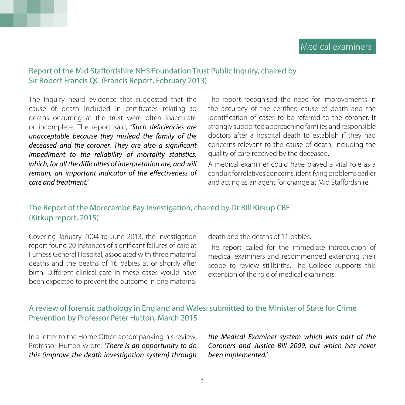#### Report of the Mid Staffordshire NHS Foundation Trust Public Inquiry, chaired by Sir Robert Francis QC (Francis Report, February 2013)

The Inquiry heard evidence that suggested that the cause of death included in certificates relating to deaths occurring at the trust were often inaccurate or incomplete. The report said, *'Such deficiencies are unacceptable because they mislead the family of the deceased and the coroner. They are also a significant impediment to the reliability of mortality statistics, which, for all the difficulties of interpretation are, and will remain, an important indicator of the effectiveness of care and treatment.'*

The report recognised the need for improvements in the accuracy of the certified cause of death and the identification of cases to be referred to the coroner. It strongly supported approaching families and responsible doctors after a hospital death to establish if they had concerns relevant to the cause of death, including the quality of care received by the deceased.

A medical examiner could have played a vital role as a conduit for relatives' concerns, identifying problems earlier and acting as an agent for change at Mid Staffordshire.

#### The Report of the Morecambe Bay Investigation, chaired by Dr Bill Kirkup CBE (Kirkup report, 2015)

Covering January 2004 to June 2013, the investigation report found 20 instances of significant failures of care at Furness General Hospital, associated with three maternal deaths and the deaths of 16 babies at or shortly after birth. Different clinical care in these cases would have been expected to prevent the outcome in one maternal death and the deaths of 11 babies.

The report called for the immediate introduction of medical examiners and recommended extending their scope to review stillbirths. The College supports this extension of the role of medical examiners.

## A review of forensic pathology in England and Wales: submitted to the Minister of State for Crime Prevention by Professor Peter Hutton, March 2015

In a letter to the Home Office accompanying his review, Professor Hutton wrote: *'There is an opportunity to do this (improve the death investigation system) through*  *the Medical Examiner system which was part of the Coroners and Justice Bill 2009, but which has never been implemented.'*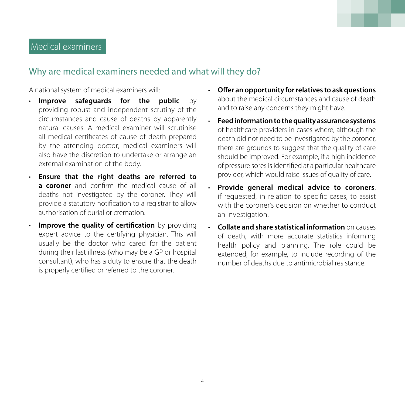# Why are medical examiners needed and what will they do?

A national system of medical examiners will:

- **Improve safeguards for the public** by providing robust and independent scrutiny of the circumstances and cause of deaths by apparently natural causes. A medical examiner will scrutinise all medical certificates of cause of death prepared by the attending doctor; medical examiners will also have the discretion to undertake or arrange an external examination of the body.
- **Ensure that the right deaths are referred to a coroner** and confirm the medical cause of all deaths not investigated by the coroner. They will provide a statutory notification to a registrar to allow authorisation of burial or cremation.
- **Improve the quality of certification** by providing expert advice to the certifying physician. This will usually be the doctor who cared for the patient during their last illness (who may be a GP or hospital consultant), who has a duty to ensure that the death is properly certified or referred to the coroner.
- **Offer an opportunity for relatives to ask questions** about the medical circumstances and cause of death and to raise any concerns they might have.
- **Feed information to the quality assurance systems**  of healthcare providers in cases where, although the death did not need to be investigated by the coroner, there are grounds to suggest that the quality of care should be improved. For example, if a high incidence of pressure sores is identified at a particular healthcare provider, which would raise issues of quality of care.
- **Provide general medical advice to coroners**, if requested, in relation to specific cases, to assist with the coroner's decision on whether to conduct an investigation.
- **Collate and share statistical information** on causes of death, with more accurate statistics informing health policy and planning. The role could be extended, for example, to include recording of the number of deaths due to antimicrobial resistance.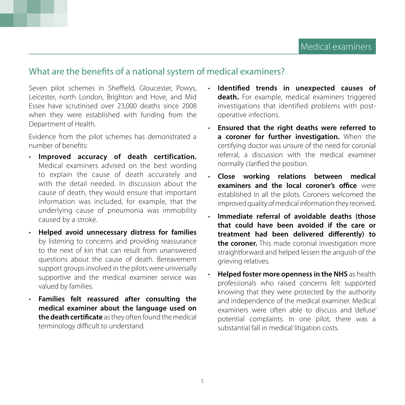## What are the benefits of a national system of medical examiners?

Seven pilot schemes in Sheffield, Gloucester, Powys, Leicester, north London, Brighton and Hove, and Mid Essex have scrutinised over 23,000 deaths since 2008 when they were established with funding from the Department of Health.

Evidence from the pilot schemes has demonstrated a number of benefits:

- **Improved accuracy of death certification.** Medical examiners advised on the best wording to explain the cause of death accurately and with the detail needed. In discussion about the cause of death, they would ensure that important information was included, for example, that the underlying cause of pneumonia was immobility caused by a stroke.
- **Helped avoid unnecessary distress for families** by listening to concerns and providing reassurance to the next of kin that can result from unanswered questions about the cause of death. Bereavement support groups involved in the pilots were universally supportive and the medical examiner service was valued by families.
- **Families felt reassured after consulting the medical examiner about the language used on the death certificate** as they often found the medical terminology difficult to understand.
- **Identified trends in unexpected causes of death.** For example, medical examiners triggered investigations that identified problems with postoperative infections.
- **Ensured that the right deaths were referred to a coroner for further investigation.** When the certifying doctor was unsure of the need for coronial referral, a discussion with the medical examiner normally clarified the position.
- **Close working relations between medical examiners and the local coroner's office** were established in all the pilots. Coroners welcomed the improved quality of medical information they received.
- **Immediate referral of avoidable deaths (those that could have been avoided if the care or treatment had been delivered differently) to the coroner.** This made coronial investigation more straightforward and helped lessen the anguish of the grieving relatives.
- **Helped foster more openness in the NHS** as health professionals who raised concerns felt supported knowing that they were protected by the authority and independence of the medical examiner. Medical examiners were often able to discuss and 'defuse' potential complaints. In one pilot, there was a substantial fall in medical litigation costs.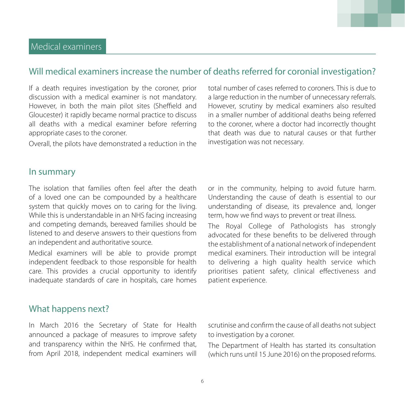# Will medical examiners increase the number of deaths referred for coronial investigation?

If a death requires investigation by the coroner, prior discussion with a medical examiner is not mandatory. However, in both the main pilot sites (Sheffield and Gloucester) it rapidly became normal practice to discuss all deaths with a medical examiner before referring appropriate cases to the coroner.

Overall, the pilots have demonstrated a reduction in the

total number of cases referred to coroners. This is due to a large reduction in the number of unnecessary referrals. However, scrutiny by medical examiners also resulted in a smaller number of additional deaths being referred to the coroner, where a doctor had incorrectly thought that death was due to natural causes or that further investigation was not necessary.

## In summary

The isolation that families often feel after the death of a loved one can be compounded by a healthcare system that quickly moves on to caring for the living. While this is understandable in an NHS facing increasing and competing demands, bereaved families should be listened to and deserve answers to their questions from an independent and authoritative source.

Medical examiners will be able to provide prompt independent feedback to those responsible for health care. This provides a crucial opportunity to identify inadequate standards of care in hospitals, care homes or in the community, helping to avoid future harm. Understanding the cause of death is essential to our understanding of disease, its prevalence and, longer term, how we find ways to prevent or treat illness.

The Royal College of Pathologists has strongly advocated for these benefits to be delivered through the establishment of a national network of independent medical examiners. Their introduction will be integral to delivering a high quality health service which prioritises patient safety, clinical effectiveness and patient experience.

## What happens next?

In March 2016 the Secretary of State for Health announced a package of measures to improve safety and transparency within the NHS. He confirmed that, from April 2018, independent medical examiners will

scrutinise and confirm the cause of all deaths not subject to investigation by a coroner.

The Department of Health has started its consultation (which runs until 15 June 2016) on the proposed reforms.